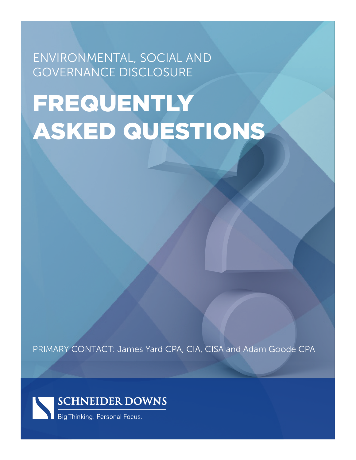ENVIRONMENTAL, SOCIAL AND GOVERNANCE DISCLOSURE

# FREQUENTLY ASKED QUESTIONS

PRIMARY CONTACT: James Yard CPA, CIA, CISA and Adam Goode CPA

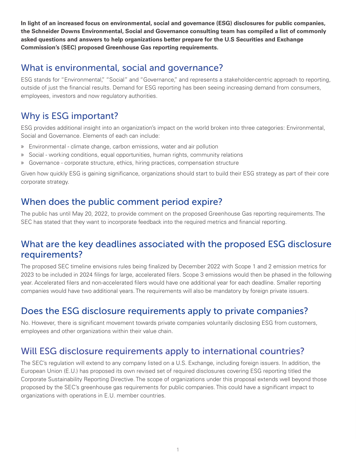**In light of an increased focus on environmental, social and governance (ESG) disclosures for public companies, the Schneider Downs Environmental, Social and Governance consulting team has compiled a list of commonly asked questions and answers to help organizations better prepare for the U.S Securities and Exchange Commission's (SEC) proposed Greenhouse Gas reporting requirements.** 

## What is environmental, social and governance?

ESG stands for "Environmental," "Social" and "Governance," and represents a stakeholder-centric approach to reporting, outside of just the financial results. Demand for ESG reporting has been seeing increasing demand from consumers, employees, investors and now regulatory authorities.

# Why is ESG important?

ESG provides additional insight into an organization's impact on the world broken into three categories: Environmental, Social and Governance. Elements of each can include:

- » Environmental climate change, carbon emissions, water and air pollution
- » Social working conditions, equal opportunities, human rights, community relations
- » Governance corporate structure, ethics, hiring practices, compensation structure

Given how quickly ESG is gaining significance, organizations should start to build their ESG strategy as part of their core corporate strategy.

## When does the public comment period expire?

The public has until May 20, 2022, to provide comment on the proposed Greenhouse Gas reporting requirements. The SEC has stated that they want to incorporate feedback into the required metrics and financial reporting.

## What are the key deadlines associated with the proposed ESG disclosure requirements?

The proposed SEC timeline envisions rules being finalized by December 2022 with Scope 1 and 2 emission metrics for 2023 to be included in 2024 filings for large, accelerated filers. Scope 3 emissions would then be phased in the following year. Accelerated filers and non-accelerated filers would have one additional year for each deadline. Smaller reporting companies would have two additional years. The requirements will also be mandatory by foreign private issuers.

## Does the ESG disclosure requirements apply to private companies?

No. However, there is significant movement towards private companies voluntarily disclosing ESG from customers, employees and other organizations within their value chain.

# Will ESG disclosure requirements apply to international countries?

The SEC's regulation will extend to any company listed on a U.S. Exchange, including foreign issuers. In addition, the European Union (E.U.) has proposed its own revised set of required disclosures covering ESG reporting titled the Corporate Sustainability Reporting Directive. The scope of organizations under this proposal extends well beyond those proposed by the SEC's greenhouse gas requirements for public companies. This could have a significant impact to organizations with operations in E.U. member countries.